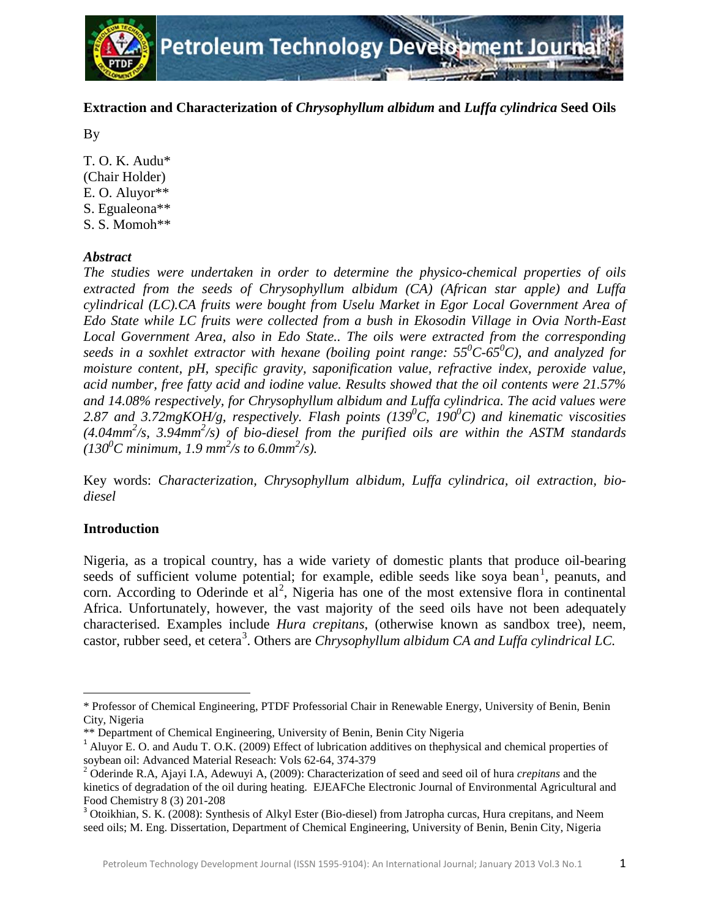

# **Extraction and Characterization of** *Chrysophyllum albidum* **and** *Luffa cylindrica* **Seed Oils**

By

T. O. K. Audu\* (Chair Holder) E. O. Aluyor\*\* S. Egualeona\*\* S. S. Momoh\*\*

# *Abstract*

*The studies were undertaken in order to determine the physico-chemical properties of oils extracted from the seeds of Chrysophyllum albidum (CA) (African star apple) and Luffa cylindrical (LC).CA fruits were bought from Uselu Market in Egor Local Government Area of Edo State while LC fruits were collected from a bush in Ekosodin Village in Ovia North-East Local Government Area, also in Edo State.. The oils were extracted from the corresponding seeds in a soxhlet extractor with hexane (boiling point range: 55<sup>0</sup> C-650 C), and analyzed for moisture content, pH, specific gravity, saponification value, refractive index, peroxide value, acid number, free fatty acid and iodine value. Results showed that the oil contents were 21.57% and 14.08% respectively, for Chrysophyllum albidum and Luffa cylindrica. The acid values were*  2.87 and 3.72mgKOH/g, respectively. Flash points (139<sup>0</sup>C, 190<sup>0</sup>C) and kinematic viscosities *(4.04mm2 /s, 3.94mm2 /s) of bio-diesel from the purified oils are within the ASTM standards*  $(130^{\circ}C \text{ minimum}, 1.9 \text{ mm}^2/\text{s} \text{ to } 6.0 \text{ mm}^2/\text{s}).$ 

Key words: *Characterization, Chrysophyllum albidum, Luffa cylindrica, oil extraction, biodiesel*

# **Introduction**

ı

Nigeria, as a tropical country, has a wide variety of domestic plants that produce oil-bearing seeds of sufficient volume potential; for example, edible seeds like soya bean<sup>[1](#page-0-0)</sup>, peanuts, and corn. According to Oderinde et al<sup>[2](#page-0-1)</sup>, Nigeria has one of the most extensive flora in continental Africa. Unfortunately, however, the vast majority of the seed oils have not been adequately characterised. Examples include *Hura crepitans*, (otherwise known as sandbox tree), neem, castor, rubber seed, et cetera<sup>[3](#page-0-2)</sup>. Others are *Chrysophyllum albidum CA and Luffa cylindrical LC*.

<span id="page-0-0"></span><sup>\*</sup> Professor of Chemical Engineering, PTDF Professorial Chair in Renewable Energy, University of Benin, Benin City, Nigeria

 $^{1}$  Aluyor E. O. and Audu T. O.K. (2009) Effect of lubrication additives on thephysical and chemical properties of soybean oil: Advanced Material Reseach: Vols 62-64, 374-379 <sup>2</sup> Oderinde R.A, Ajayi I.A, Adewuyi A, (2009): Characterization of seed and seed oil of hura *crepitans* and the

<span id="page-0-1"></span>kinetics of degradation of the oil during heating. EJEAFChe Electronic Journal of Environmental Agricultural and

<span id="page-0-2"></span>Food Chemistry 8 (3) 201-208<br><sup>3</sup> Otoikhian, S. K. (2008): Synthesis of Alkyl Ester (Bio-diesel) from Jatropha curcas, Hura crepitans, and Neem seed oils; M. Eng. Dissertation, Department of Chemical Engineering, University of Benin, Benin City, Nigeria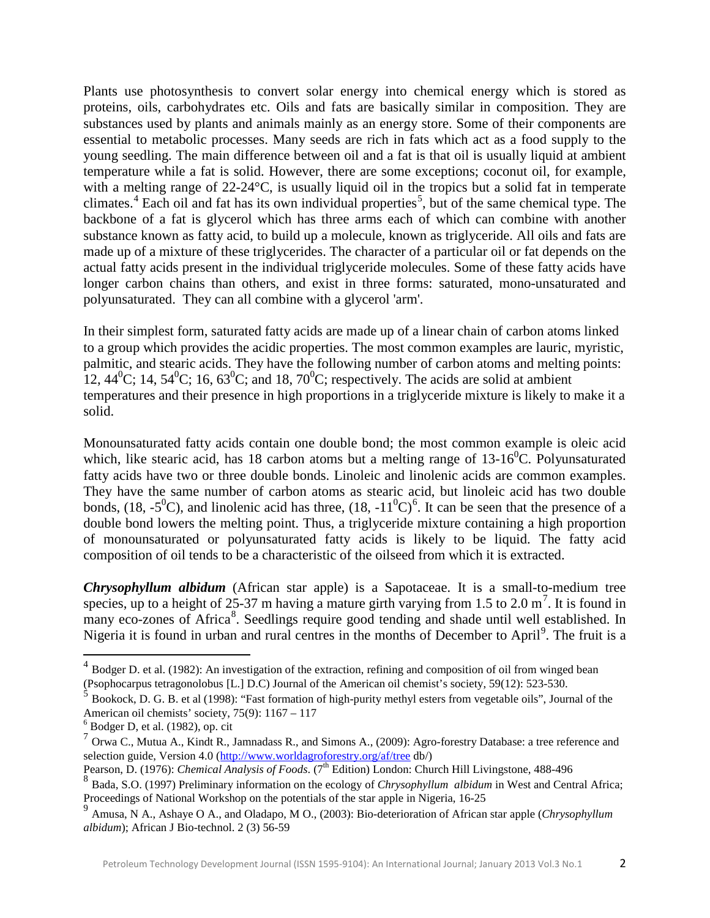Plants use photosynthesis to convert solar energy into chemical energy which is stored as proteins, oils, carbohydrates etc. Oils and fats are basically similar in composition. They are substances used by plants and animals mainly as an energy store. Some of their components are essential to metabolic processes. Many seeds are rich in fats which act as a food supply to the young seedling. The main difference between oil and a fat is that oil is usually liquid at ambient temperature while a fat is solid. However, there are some exceptions; coconut oil, for example, with a melting range of 22-24 °C, is usually liquid oil in the tropics but a solid fat in temperate climates.<sup>[4](#page-1-0)</sup> Each oil and fat has its own individual properties<sup>[5](#page-1-1)</sup>, but of the same chemical type. The backbone of a fat is glycerol which has three arms each of which can combine with another substance known as fatty acid, to build up a molecule, known as triglyceride. All oils and fats are made up of a mixture of these triglycerides. The character of a particular oil or fat depends on the actual fatty acids present in the individual triglyceride molecules. Some of these fatty acids have longer carbon chains than others, and exist in three forms: saturated, mono-unsaturated and polyunsaturated. They can all combine with a glycerol 'arm'.

In their simplest form, saturated fatty acids are made up of a linear chain of carbon atoms linked to a group which provides the acidic properties. The most common examples are lauric, myristic, palmitic, and stearic acids. They have the following number of carbon atoms and melting points: 12, 44<sup>0</sup>C; 14, 54<sup>0</sup>C; 16, 63<sup>0</sup>C; and 18, 70<sup>0</sup>C; respectively. The acids are solid at ambient temperatures and their presence in high proportions in a triglyceride mixture is likely to make it a solid.

Monounsaturated fatty acids contain one double bond; the most common example is oleic acid which, like stearic acid, has 18 carbon atoms but a melting range of  $13{\text -}16^0$ C. Polyunsaturated fatty acids have two or three double bonds. Linoleic and linolenic acids are common examples. They have the same number of carbon atoms as stearic acid, but linoleic acid has two double bonds, (18, -5<sup>0</sup>C), and linolenic acid has three, (18, -11<sup>0</sup>C)<sup>[6](#page-1-2)</sup>. It can be seen that the presence of a double bond lowers the melting point. Thus, a triglyceride mixture containing a high proportion of monounsaturated or polyunsaturated fatty acids is likely to be liquid. The fatty acid composition of oil tends to be a characteristic of the oilseed from which it is extracted.

*Chrysophyllum albidum* (African star apple) is a Sapotaceae. It is a small-to-medium tree species, up to a height of 25-3[7](#page-1-3) m having a mature girth varying from 1.5 to 2.0 m<sup>7</sup>. It is found in many eco-zones of Africa<sup>[8](#page-1-4)</sup>. Seedlings require good tending and shade until well established. In Nigeria it is found in urban and rural centres in the months of December to April<sup>[9](#page-1-5)</sup>. The fruit is a

l

<span id="page-1-0"></span> $4$  Bodger D. et al. (1982): An investigation of the extraction, refining and composition of oil from winged bean (Psophocarpus tetragonolobus [L.] D.C) Journal of the American oil chemist's society, 59(12): 523-530.

<span id="page-1-1"></span><sup>5</sup> Bookock, D. G. B. et al (1998): "Fast formation of high-purity methyl esters from vegetable oils", Journal of the American oil chemists' society, 75(9): 1167 – 117<br>
<sup>6</sup> Bodger D, et al. (1982), op. cit

<span id="page-1-3"></span><span id="page-1-2"></span><sup>7</sup> Orwa C., Mutua A., Kindt R., Jamnadass R., and Simons A., (2009): Agro-forestry Database: a tree reference and selection guide, Version 4.0 [\(http://www.worldagroforestry.org/af/tree](http://www.worldagroforestry.org/af/tree) db/)

Pearson, D. (1976): *Chemical Analysis of Foods*. (7<sup>th</sup> Edition) London: Church Hill Livingstone, 488-496

<span id="page-1-4"></span><sup>8</sup> Bada, S.O. (1997) Preliminary information on the ecology of *Chrysophyllum albidum* in West and Central Africa; Proceedings of National Workshop on the potentials of the star apple in Nigeria, 16-25

<span id="page-1-5"></span><sup>9</sup> Amusa, N A., Ashaye O A., and Oladapo, M O., (2003): Bio-deterioration of African star apple (*Chrysophyllum albidum*); African J Bio-technol. 2 (3) 56-59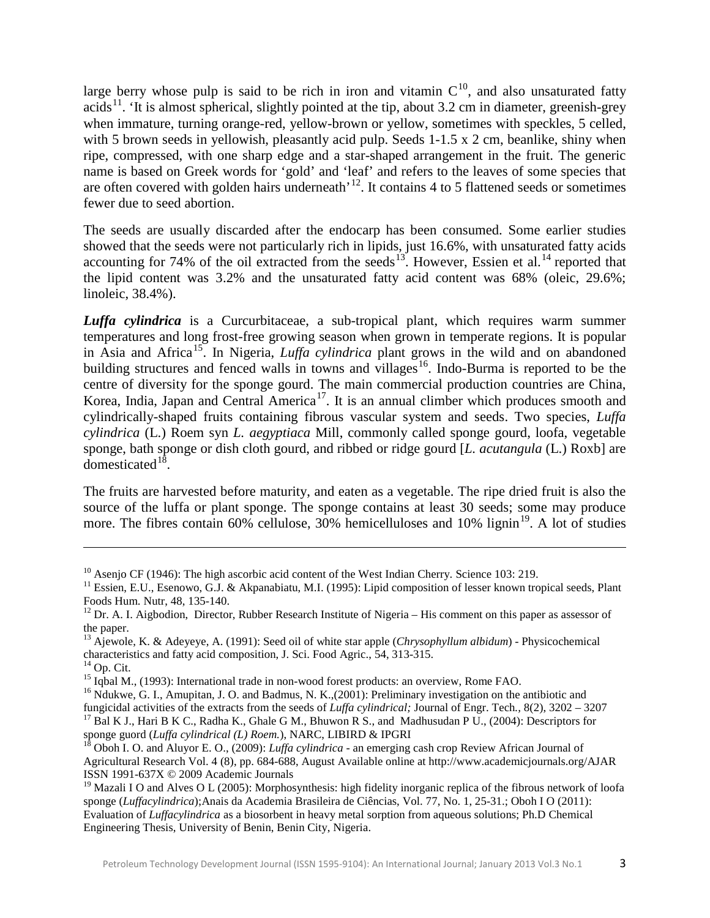large berry whose pulp is said to be rich in iron and vitamin  $C^{10}$  $C^{10}$  $C^{10}$ , and also unsaturated fatty acids<sup>[11](#page-2-1)</sup>. 'It is almost spherical, slightly pointed at the tip, about 3.2 cm in diameter, greenish-grey when immature, turning orange-red, yellow-brown or yellow, sometimes with speckles, 5 celled, with 5 brown seeds in yellowish, pleasantly acid pulp. Seeds 1-1.5 x 2 cm, beanlike, shiny when ripe, compressed, with one sharp edge and a star-shaped arrangement in the fruit. The generic name is based on Greek words for 'gold' and 'leaf' and refers to the leaves of some species that are often covered with golden hairs underneath<sup>, [12](#page-2-2)</sup>. It contains 4 to 5 flattened seeds or sometimes fewer due to seed abortion.

The seeds are usually discarded after the endocarp has been consumed. Some earlier studies showed that the seeds were not particularly rich in lipids, just 16.6%, with unsaturated fatty acids accounting for 74% of the oil extracted from the seeds<sup>13</sup>. However, Essien et al.<sup>[14](#page-2-4)</sup> reported that the lipid content was 3.2% and the unsaturated fatty acid content was 68% (oleic, 29.6%; linoleic, 38.4%).

*Luffa cylindrica* is a Curcurbitaceae, a sub-tropical plant, which requires warm summer temperatures and long frost-free growing season when grown in temperate regions. It is popular in [Asia](http://en.wikipedia.org/wiki/Asia) and [Africa](http://en.wikipedia.org/wiki/Africa)<sup>[15](#page-2-5)</sup>. In Nigeria, *Luffa cylindrica* plant grows in the wild and on abandoned building structures and fenced walls in towns and villages<sup>[16](#page-2-6)</sup>. Indo-Burma is reported to be the centre of diversity for the sponge gourd. The main commercial production countries are China, Korea, India, Japan and Central America<sup>[17](#page-2-7)</sup>. It is an annual climber which produces smooth and cylindrically-shaped fruits containing fibrous vascular system and seeds. Two species, *Luffa cylindrica* (L.) Roem syn *L. aegyptiaca* Mill, commonly called sponge gourd, loofa, vegetable sponge, bath sponge or dish cloth gourd, and ribbed or ridge gourd [*L. acutangula* (L.) Roxb] are domesticated $18$ .

The fruits are harvested before maturity, and eaten as a [vegetable.](http://en.wikipedia.org/wiki/Vegetable) The ripe dried fruit is also the source of the luffa or plant [sponge.](http://en.wikipedia.org/wiki/Sponge_%28material%29) The sponge contains at least 30 seeds; some may produce more. The fibres contain 60% cellulose, 30% hemicelluloses and 10% lignin<sup>[19](#page-2-9)</sup>. A lot of studies

l

<span id="page-2-1"></span><span id="page-2-0"></span><sup>&</sup>lt;sup>10</sup> Asenjo CF (1946): The high ascorbic acid content of the West Indian Cherry. Science 103: 219.<br><sup>11</sup> Essien, E.U., Esenowo, G.J. & Akpanabiatu, M.I. (1995): Lipid composition of lesser known tropical seeds, Plant Foods Hum. Nutr, 48, 135-140.<br><sup>12</sup> Dr. A. I. Aigbodion, Director, Rubber Research Institute of Nigeria – His comment on this paper as assessor of

<span id="page-2-2"></span>the paper.

<span id="page-2-3"></span><sup>&</sup>lt;sup>13</sup> Ajewole, K. & Adeyeye, A. (1991): Seed oil of white star apple (*Chrysophyllum albidum*) - Physicochemical characteristics and fatty acid composition, J. Sci. Food Agric., 54, 313-315.

<span id="page-2-6"></span>

<span id="page-2-5"></span><span id="page-2-4"></span><sup>&</sup>lt;sup>14</sup> Op. Cit.<br><sup>15</sup> Iqbal M., (1993): International trade in non-wood forest products: an overview, Rome FAO.<br><sup>16</sup> Ndukwe, G. I., Amupitan, J. O. and Badmus, N. K., (2001): Preliminary investigation on the antibiotic and f <sup>17</sup> Bal K J., Hari B K C., Radha K., Ghale G M., Bhuwon R S., and Madhusudan P U., (2004): Descriptors for sponge guord (*Luffa cylindrical* (*L*) *Roem*.), NARC, LIBIRD & IPGRI

<span id="page-2-7"></span>

<span id="page-2-8"></span><sup>&</sup>lt;sup>18</sup> Oboh I. O. and Aluyor E. O., (2009): *Luffa cylindrica* - an emerging cash crop Review African Journal of Agricultural Research Vol. 4 (8), pp. 684-688, August Available online at<http://www.academicjournals.org/AJAR> ISSN 1991-637X © 2009 Academic Journals

<span id="page-2-9"></span><sup>&</sup>lt;sup>19</sup> Mazali I O and Alves O L (2005): Morphosynthesis: high fidelity inorganic replica of the fibrous network of loofa sponge (*Luffacylindrica*);Anais da Academia Brasileira de Ciências, Vol. 77, No. 1, 25-31.; Oboh I O (2011): Evaluation of *Luffacylindrica* as a biosorbent in heavy metal sorption from aqueous solutions; Ph.D Chemical Engineering Thesis, University of Benin, Benin City, Nigeria.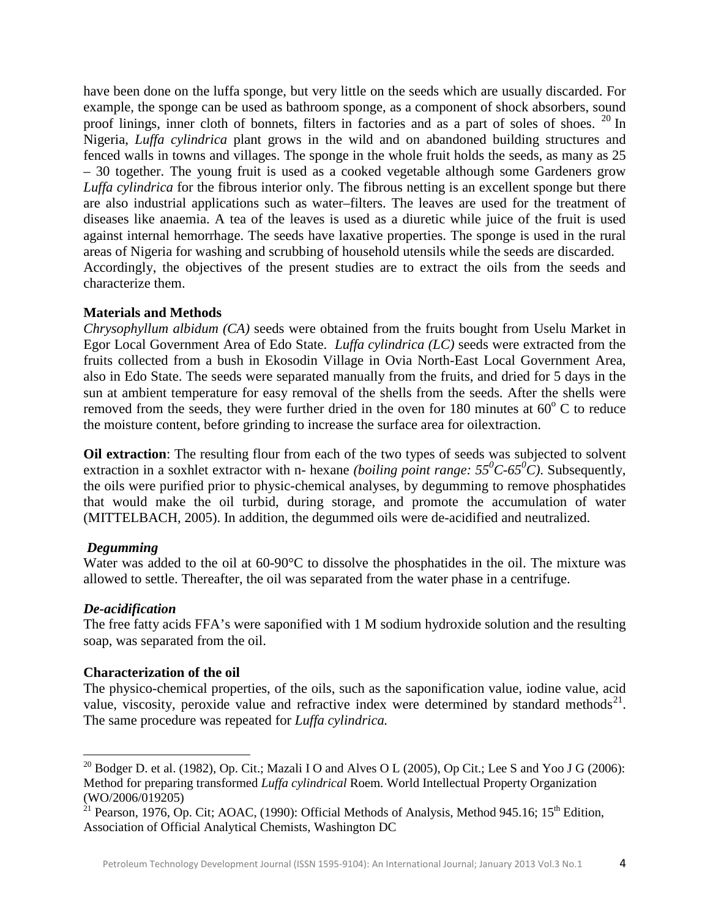have been done on the luffa sponge, but very little on the seeds which are usually discarded. For example, the sponge can be used as bathroom sponge, as a component of shock absorbers, sound proof linings, inner cloth of bonnets, filters in factories and as a part of soles of shoes. <sup>[20](#page-3-0)</sup> In Accordingly, the objectives of the present studies are to extract the oils from the seeds and characterize them. Nigeria, *Luffa cylindrica* plant grows in the wild and on abandoned building structures and fenced walls in towns and villages. The sponge in the whole fruit holds the seeds, as many as 25 – 30 together. The young fruit is used as a cooked vegetable although some Gardeners grow *Luffa cylindrica* for the fibrous interior only. The fibrous netting is an excellent sponge but there are also industrial applications such as water–filters. The leaves are used for the treatment of diseases like anaemia. A tea of the leaves is used as a diuretic while juice of the fruit is used against internal hemorrhage. The seeds have laxative properties. The sponge is used in the rural areas of Nigeria for washing and scrubbing of household utensils while the seeds are discarded.

### **Materials and Methods**

*Chrysophyllum albidum (CA)* seeds were obtained from the fruits bought from Uselu Market in Egor Local Government Area of Edo State. *Luffa cylindrica (LC)* seeds were extracted from the fruits collected from a bush in Ekosodin Village in Ovia North-East Local Government Area, also in Edo State. The seeds were separated manually from the fruits, and dried for 5 days in the sun at ambient temperature for easy removal of the shells from the seeds. After the shells were removed from the seeds, they were further dried in the oven for 180 minutes at  $60^{\circ}$  C to reduce the moisture content, before grinding to increase the surface area for oilextraction.

**Oil extraction:** The resulting flour from each of the two types of seeds was subjected to solvent extraction in a soxhlet extractor with n- hexane *(boiling point range:*  $55^{\circ}C \cdot 65^{\circ}C$ ). Subsequently, the oils were purified prior to physic-chemical analyses, by degumming to remove phosphatides that would make the oil turbid, during storage, and promote the accumulation of water (MITTELBACH*,* 2005). In addition, the degummed oils were de-acidified and neutralized.

### *Degumming*

Water was added to the oil at 60-90°C to dissolve the phosphatides in the oil. The mixture was allowed to settle. Thereafter, the oil was separated from the water phase in a centrifuge.

### *De-acidification*

ı

The free fatty acids FFA's were saponified with 1 M sodium hydroxide solution and the resulting soap, was separated from the oil.

### **Characterization of the oil**

The physico-chemical properties, of the oils, such as the saponification value, iodine value, acid value, viscosity, peroxide value and refractive index were determined by standard methods<sup>[21](#page-3-1)</sup>. The same procedure was repeated for *Luffa cylindrica.*

<span id="page-3-0"></span><sup>&</sup>lt;sup>20</sup> Bodger D. et al. (1982), Op. Cit.; Mazali I O and Alves O L (2005), Op Cit.; Lee S and Yoo J G (2006): Method for preparing transformed *Luffa cylindrical* Roem. World Intellectual Property Organization (WO/2006/019205)

<span id="page-3-1"></span><sup>&</sup>lt;sup>21</sup> Pearson, 1976, Op. Cit; AOAC, (1990): Official Methods of Analysis, Method 945.16; 15<sup>th</sup> Edition, Association of Official Analytical Chemists, Washington DC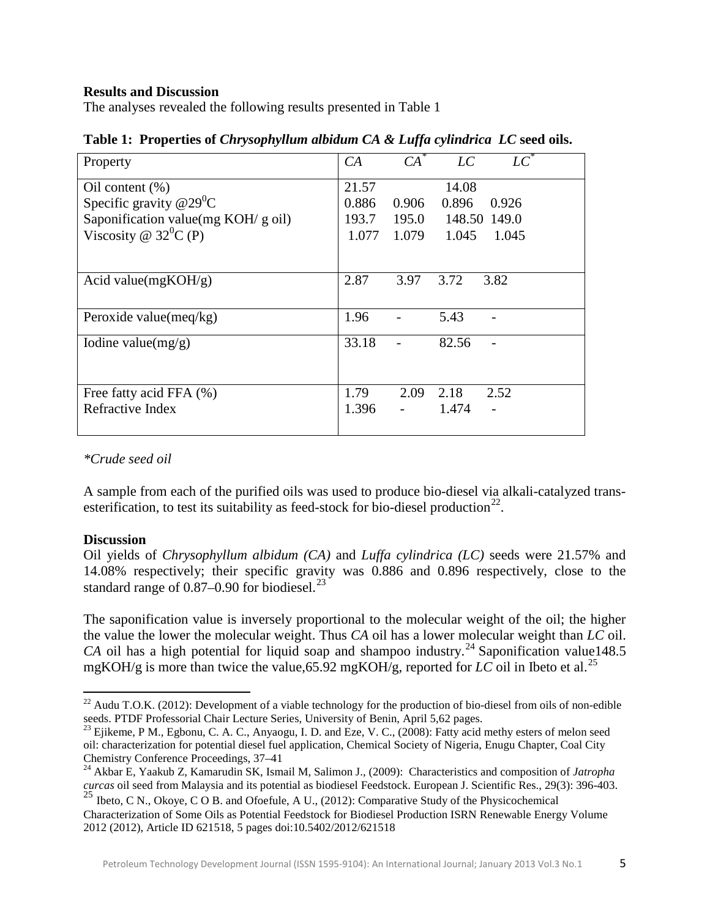#### **Results and Discussion**

The analyses revealed the following results presented in Table 1

| Property                             | CA    | $CA^*$ | LC          | $LC^*$       |
|--------------------------------------|-------|--------|-------------|--------------|
| Oil content $(\%)$                   | 21.57 |        | 14.08       |              |
| Specific gravity $@29^0C$            | 0.886 | 0.906  | 0.896       | 0.926        |
| Saponification value(mg $KOH/g$ oil) | 193.7 | 195.0  |             | 148.50 149.0 |
| Viscosity @ $32^0C(P)$               | 1.077 |        | 1.079 1.045 | 1.045        |
|                                      |       |        |             |              |
| Acid value(mgKOH/g)                  | 2.87  | 3.97   | 3.72        | 3.82         |
|                                      |       |        |             |              |
| Peroxide value( $\text{meq/kg}$ )    | 1.96  |        | 5.43        |              |
| Iodine value $(mg/g)$                | 33.18 |        | 82.56       |              |
|                                      |       |        |             |              |
|                                      |       |        |             |              |
| Free fatty acid FFA (%)              | 1.79  | 2.09   | 2.18        | 2.52         |
| Refractive Index                     | 1.396 |        | 1.474       |              |
|                                      |       |        |             |              |

**Table 1: Properties of** *Chrysophyllum albidum CA & Luffa cylindrica**LC* **seed oils.**

## *\*Crude seed oil*

A sample from each of the purified oils was used to produce bio-diesel via alkali-catalyzed transesterification, to test its suitability as feed-stock for bio-diesel production<sup>22</sup>.

#### **Discussion**

ı

Oil yields of *Chrysophyllum albidum (CA)* and *Luffa cylindrica (LC)* seeds were 21.57% and 14.08% respectively; their specific gravity was 0.886 and 0.896 respectively, close to the standard range of 0.87–0.90 for biodiesel.<sup>[23](#page-4-1)</sup>

The saponification value is inversely proportional to the molecular weight of the oil; the higher the value the lower the molecular weight. Thus *CA* oil has a lower molecular weight than *LC* oil. CA oil has a high potential for liquid soap and shampoo industry.<sup>[24](#page-4-2)</sup> Saponification value148.5 mgKOH/g is more than twice the value,65.92 mgKOH/g, reported for *LC* oil in Ibeto et al. [25](#page-4-3)

<span id="page-4-0"></span><sup>&</sup>lt;sup>22</sup> Audu T.O.K. (2012): Development of a viable technology for the production of bio-diesel from oils of non-edible seeds. PTDF Professorial Chair Lecture Series, University of Benin, April 5,62 pages.

<span id="page-4-1"></span> $^{23}$  Ejikeme, P M., Egbonu, C. A. C., Anyaogu, I. D. and Eze, V. C., (2008): Fatty acid methy esters of melon seed oil: characterization for potential diesel fuel application, Chemical Society of Nigeria, Enugu Chapter, Coal City

<span id="page-4-2"></span><sup>&</sup>lt;sup>24</sup> Akbar E, Yaakub Z, Kamarudin SK, Ismail M, Salimon J., (2009): Characteristics and composition of *Jatropha curcas* oil seed from Malaysia and its potential as biodiesel Feedstock. European J. Scientific Res., 29(3): 396-403. <sup>25</sup> Ibeto, C N., Okoye, C O B. and Ofoefule, A U., (2012): Comparative Study of the Physicochemical

<span id="page-4-3"></span>Characterization of Some Oils as Potential Feedstock for Biodiesel Production ISRN Renewable Energy Volume 2012 (2012), Article ID 621518, 5 pages doi:10.5402/2012/621518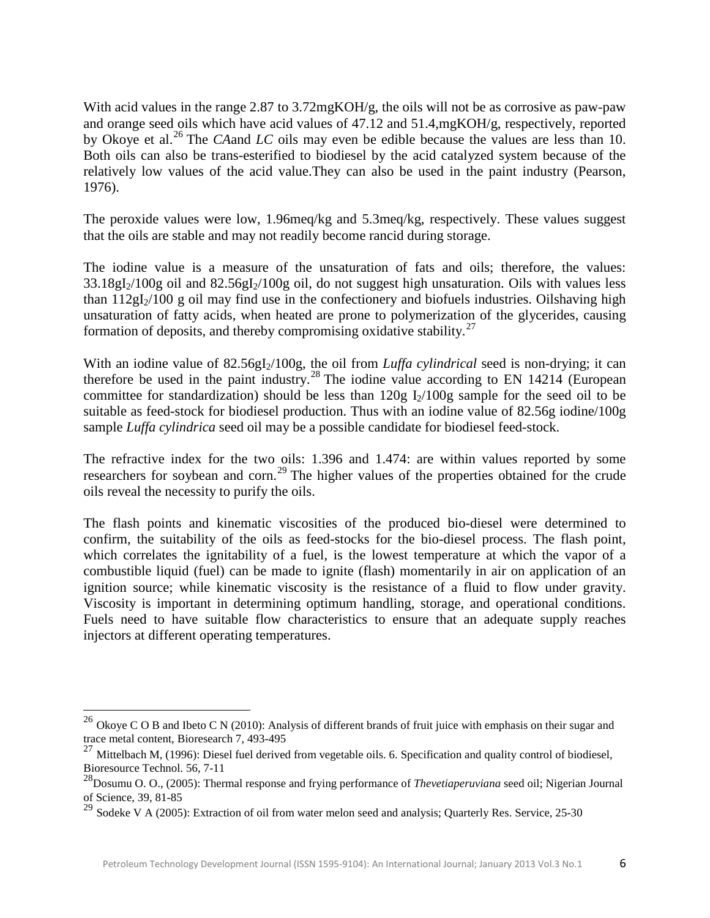With acid values in the range 2.87 to 3.72mgKOH/g, the oils will not be as corrosive as paw-paw and orange seed oils which have acid values of 47.12 and 51.4,mgKOH/g, respectively, reported by Okoye et al.[26](#page-5-0) The *CA*and *LC* oils may even be edible because the values are less than 10. Both oils can also be trans-esterified to biodiesel by the acid catalyzed system because of the relatively low values of the acid value.They can also be used in the paint industry (Pearson, 1976).

The peroxide values were low, 1.96meq/kg and 5.3meq/kg, respectively. These values suggest that the oils are stable and may not readily become rancid during storage.

The iodine value is a measure of the unsaturation of fats and oils; therefore, the values:  $33.18gI_2/100g$  oil and  $82.56gI_2/100g$  oil, do not suggest high unsaturation. Oils with values less than  $112gI_2/100 g$  oil may find use in the confectionery and biofuels industries. Oilshaving high unsaturation of fatty acids, when heated are prone to polymerization of the glycerides, causing formation of deposits, and thereby compromising oxidative stability. $27$ 

With an iodine value of 82.56gI<sub>2</sub>/100g, the oil from *Luffa cylindrical* seed is non-drying; it can therefore be used in the paint industry.<sup>[28](#page-5-2)</sup> The iodine value according to EN 14214 (European committee for standardization) should be less than  $120g I_2/100g$  sample for the seed oil to be suitable as feed-stock for biodiesel production. Thus with an iodine value of 82.56g iodine/100g sample *Luffa cylindrica* seed oil may be a possible candidate for biodiesel feed-stock.

The refractive index for the two oils: 1.396 and 1.474: are within values reported by some researchers for soybean and corn.<sup>[29](#page-5-3)</sup> The higher values of the properties obtained for the crude oils reveal the necessity to purify the oils.

The flash points and kinematic viscosities of the produced bio-diesel were determined to confirm, the suitability of the oils as feed-stocks for the bio-diesel process. The flash point, which correlates the ignitability of a fuel, is the lowest temperature at which the vapor of a combustible liquid (fuel) can be made to ignite (flash) momentarily in air on application of an ignition source; while kinematic viscosity is the resistance of a fluid to flow under gravity. Viscosity is important in determining optimum handling, storage, and operational conditions. Fuels need to have suitable flow characteristics to ensure that an adequate supply reaches injectors at different operating temperatures.

l

<span id="page-5-0"></span><sup>&</sup>lt;sup>26</sup> Okoye C O B and Ibeto C N (2010): Analysis of different brands of fruit juice with emphasis on their sugar and trace metal content, Bioresearch 7, 493-495

<span id="page-5-1"></span><sup>&</sup>lt;sup>27</sup> Mittelbach M, (1996): Diesel fuel derived from vegetable oils. 6. Specification and quality control of biodiesel, Bioresource Technol. 56, 7-11

<span id="page-5-2"></span><sup>28</sup>Dosumu O. O., (2005): Thermal response and frying performance of *Thevetiaperuviana* seed oil; Nigerian Journal of Science, 39, 81-85

<span id="page-5-3"></span><sup>&</sup>lt;sup>29</sup> Sodeke V A (2005): Extraction of oil from water melon seed and analysis; Quarterly Res. Service, 25-30